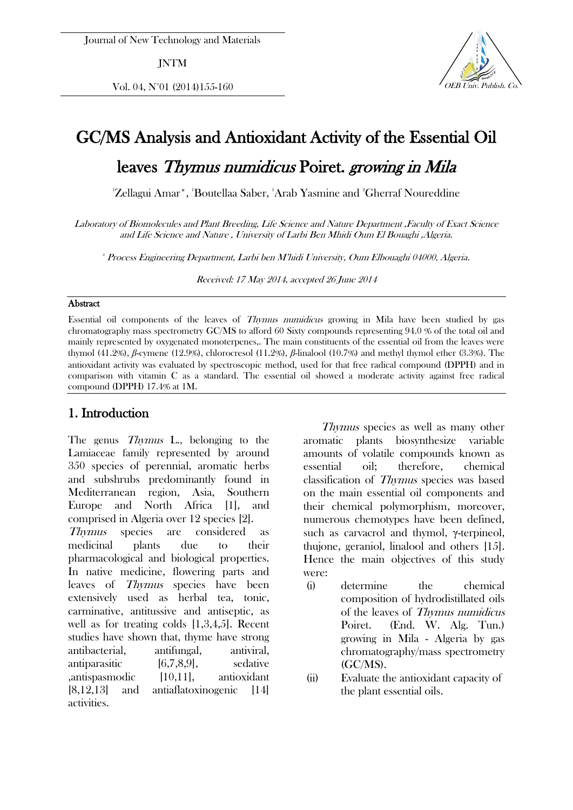JNTM

Vol. 04,  $N^{\circ}01$  (2014)155-160  $V$  OEB Univ. Publish. Co.



# GC/MS Analysis and Antioxidant Activity of the Essential Oil

leaves Thymus numidicus Poiret. growing in Mila

'Zellagui Amar\*, 'Boutellaa Saber, 'Arab Yasmine and 'Gherraf Noureddine

Laboratory of Biomolecules and Plant Breeding, Life Science and Nature Department ,Faculty of Exact Science and Life Science and Nature , University of Larbi Ben Mhidi Oum El Bouaghi ,Algeria.

2 Process Engineering Department, Larbi ben M'hidi University, Oum Elbouaghi 04000, Algeria.

Received: 17 May 2014, accepted 26 June 2014

#### **Abstract**

Essential oil components of the leaves of Thymus numidicus growing in Mila have been studied by gas chromatography mass spectrometry GC/MS to afford 60 Sixty compounds representing 94.0 % of the total oil and mainly represented by oxygenated monoterpenes,. The main constituents of the essential oil from the leaves were thymol (41.2%), *β*-cymene (12.9%), chlorocresol (11.2%), *β*-linalool (10.7%) and methyl thymol ether (3.3%). The antioxidant activity was evaluated by spectroscopic method, used for that free radical compound (DPPH) and in comparison with vitamin C as a standard. The essential oil showed a moderate activity against free radical compound (DPPH) 17.4% at 1M.

#### 1. Introduction

The genus *Thymus* L., belonging to the Lamiaceae family represented by around 350 species of perennial, aromatic herbs and subshrubs predominantly found in Mediterranean region, Asia, Southern Europe and North Africa [1], and comprised in Algeria over 12 species [2]. Thymus species are considered as medicinal plants due to their pharmacological and biological properties. In native medicine, flowering parts and leaves of Thymus species have been extensively used as herbal tea, tonic, carminative, antitussive and antiseptic, as well as for treating colds [1,3,4,5]. Recent studies have shown that, thyme have strong antibacterial, antifungal, antiviral, antiparasitic  $[6,7,8,9]$ , sedative ,antispasmodic [10,11], antioxidant [8,12,13] and antiaflatoxinogenic [14] activities.

 Thymus species as well as many other aromatic plants biosynthesize variable amounts of volatile compounds known as essential oil; therefore, chemical classification of Thymus species was based on the main essential oil components and their chemical polymorphism, moreover, numerous chemotypes have been defined, such as carvacrol and thymol, γ-terpineol, thujone, geraniol, linalool and others [15]. Hence the main objectives of this study were:

- (i) determine the chemical composition of hydrodistillated oils of the leaves of Thymus numidicus Poiret. (End. W. Alg. Tun.) growing in Mila - Algeria by gas chromatography/mass spectrometry (GC/MS).
- (ii) Evaluate the antioxidant capacity of the plant essential oils.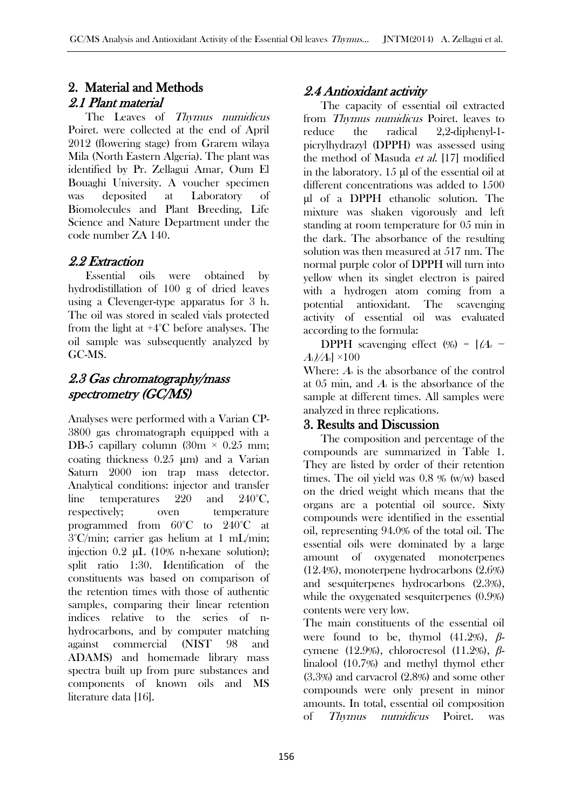### 2. Material and Methods 2.1 Plant material

The Leaves of Thymus numidicus Poiret. were collected at the end of April 2012 (flowering stage) from Grarem wilaya Mila (North Eastern Algeria). The plant was identified by Pr. Zellagui Amar, Oum El Bouaghi University. A voucher specimen was deposited at Laboratory of Biomolecules and Plant Breeding, Life Science and Nature Department under the code number ZA 140.

### 2.2 Extraction

 Essential oils were obtained by hydrodistillation of 100 g of dried leaves using a Clevenger-type apparatus for 3 h. The oil was stored in sealed vials protected from the light at +4°C before analyses. The oil sample was subsequently analyzed by GC-MS.

# 2.3 Gas chromatography/mass spectrometry (GC/MS)

Analyses were performed with a Varian CP-3800 gas chromatograph equipped with a DB-5 capillary column (30m  $\times$  0.25 mm; coating thickness 0.25 μm) and a Varian Saturn 2000 ion trap mass detector. Analytical conditions: injector and transfer line temperatures 220 and 240°C, respectively; oven temperature programmed from 60°C to 240°C at 3°C/min; carrier gas helium at 1 mL/min; injection 0.2 μL (10% n-hexane solution); split ratio 1:30. Identification of the constituents was based on comparison of the retention times with those of authentic samples, comparing their linear retention indices relative to the series of nhydrocarbons, and by computer matching against commercial (NIST 98 and ADAMS) and homemade library mass spectra built up from pure substances and components of known oils and MS literature data [16].

# 2.4 Antioxidant activity

 The capacity of essential oil extracted from *Thymus numidicus* Poiret. leaves to reduce the radical 2,2-diphenyl-1 picrylhydrazyl (DPPH) was assessed using the method of Masuda *et al.* [17] modified in the laboratory. 15 μl of the essential oil at different concentrations was added to 1500 μl of a DPPH ethanolic solution. The mixture was shaken vigorously and left standing at room temperature for 05 min in the dark. The absorbance of the resulting solution was then measured at 517 nm. The normal purple color of DPPH will turn into yellow when its singlet electron is paired with a hydrogen atom coming from a potential antioxidant. The scavenging activity of essential oil was evaluated according to the formula:

DPPH scavenging effect  $(\%) = [(A_0 A_1$ // $A_0$   $\times$ 100

Where:  $A_0$  is the absorbance of the control at 05 min, and  $A<sub>1</sub>$  is the absorbance of the sample at different times. All samples were analyzed in three replications.

#### 3. Results and Discussion

 The composition and percentage of the compounds are summarized in Table 1. They are listed by order of their retention times. The oil yield was 0.8 % (w/w) based on the dried weight which means that the organs are a potential oil source. Sixty compounds were identified in the essential oil, representing 94.0% of the total oil. The essential oils were dominated by a large amount of oxygenated monoterpenes (12.4%), monoterpene hydrocarbons (2.6%) and sesquiterpenes hydrocarbons (2.3%), while the oxygenated sesquiterpenes (0.9%) contents were very low.

The main constituents of the essential oil were found to be, thymol (41.2%), *β*cymene (12.9%), chlorocresol (11.2%), *β*linalool (10.7%) and methyl thymol ether (3.3%) and carvacrol (2.8%) and some other compounds were only present in minor amounts. In total, essential oil composition of Thymus numidicus Poiret. was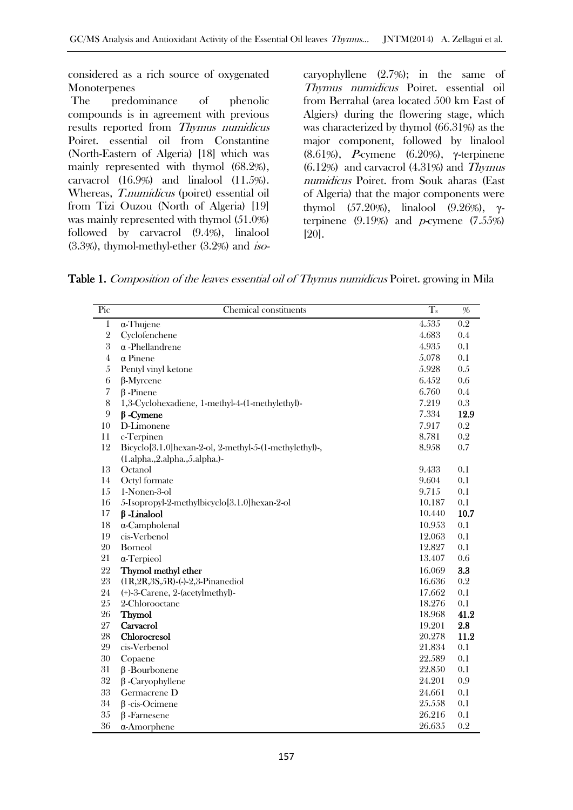considered as a rich source of oxygenated Monoterpenes

The predominance of phenolic compounds is in agreement with previous results reported from Thymus numidicus Poiret. essential oil from Constantine (North-Eastern of Algeria) [18] which was mainly represented with thymol (68.2%), carvacrol (16.9%) and linalool (11.5%). Whereas, T.numidicus (poiret) essential oil from Tizi Ouzou (North of Algeria) [19] was mainly represented with thymol (51.0%) followed by carvacrol (9.4%), linalool  $(3.3\%)$ , thymol-methyl-ether  $(3.2\%)$  and *iso*-

caryophyllene (2.7%); in the same of Thymus numidicus Poiret. essential oil from Berrahal (area located 500 km East of Algiers) during the flowering stage, which was characterized by thymol (66.31%) as the major component, followed by linalool (8.61%), *P*-cymene (6.20%), γ-terpinene  $(6.12%)$  and carvacrol  $(4.31%)$  and Thymus numidicus Poiret. from Souk aharas (East of Algeria) that the major components were thymol (57.20%), linalool (9.26%), γterpinene  $(9.19\%)$  and *p*-cymene  $(7.55\%)$ [20].

Table 1. Composition of the leaves essential oil of Thymus numidicus Poiret. growing in Mila

| Pic            | Chemical constituents                                  | $T_{R}$ | $\%$    |
|----------------|--------------------------------------------------------|---------|---------|
| $\mathbf{1}$   | $\alpha$ -Thujene                                      | 4.535   | 0.2     |
| $\overline{2}$ | Cyclofenchene                                          | 4.683   | 0.4     |
| 3              | $\alpha$ -Phellandrene                                 | 4.935   | 0.1     |
| $\overline{4}$ | $\alpha$ Pinene                                        | 5.078   | 0.1     |
| $\overline{5}$ | Pentyl vinyl ketone                                    | 5.928   | 0.5     |
| 6              | $\beta$ -Myrcene                                       | 6.452   | $0.6\,$ |
| $\overline{7}$ | $\beta$ -Pinene                                        | 6.760   | 0.4     |
| $\,8\,$        | 1,3-Cyclohexadiene, 1-methyl-4-(1-methylethyl)-        | 7.219   | 0.3     |
| 9              | $\beta$ -Cymene                                        | 7.334   | 12.9    |
| 10             | D-Limonene                                             | 7.917   | 0.2     |
| 11             | c-Terpinen                                             | 8.781   | 0.2     |
| 12             | Bicyclo[3.1.0]hexan-2-ol, 2-methyl-5-(1-methylethyl)-, | 8.958   | 0.7     |
|                | (1.alpha.,2.alpha.,5.alpha.)-                          |         |         |
| 13             | Octanol                                                | 9.433   | 0.1     |
| 14             | Octyl formate                                          | 9.604   | 0.1     |
| 15             | 1-Nonen-3-ol                                           | 9.715   | 0.1     |
| 16             | 5-Isopropyl-2-methylbicyclo[3.1.0]hexan-2-ol           | 10.187  | 0.1     |
| 17             | $\beta$ -Linalool                                      | 10.440  | 10.7    |
| 18             | $\alpha$ -Campholenal                                  | 10.953  | 0.1     |
| 19             | cis-Verbenol                                           | 12.063  | 0.1     |
| 20             | <b>Borneol</b>                                         | 12.827  | 0.1     |
| 21             | $\alpha$ -Terpieol                                     | 13.407  | 0.6     |
| 22             | Thymol methyl ether                                    | 16.069  | 3.3     |
| 23             | $(1R, 2R, 3S, 5R)$ -(-)-2,3-Pinanediol                 | 16.636  | 0.2     |
| 24             | (+)-3-Carene, 2-(acetylmethyl)-                        | 17.662  | 0.1     |
| 25             | 2-Chlorooctane                                         | 18.276  | 0.1     |
| 26             | Thymol                                                 | 18.968  | 41.2    |
| 27             | Carvacrol                                              | 19.201  | 2.8     |
| 28             | Chlorocresol                                           | 20.278  | 11.2    |
| 29             | cis-Verbenol                                           | 21.834  | 0.1     |
| 30             | Copaene                                                | 22.589  | 0.1     |
| 31             | $\beta$ -Bourbonene                                    | 22.850  | 0.1     |
| 32             | $\beta$ -Caryophyllene                                 | 24.201  | 0.9     |
| 33             | Germacrene D                                           | 24.661  | 0.1     |
| $34\,$         | $\beta$ -cis-Ocimene                                   | 25.558  | 0.1     |
| 35             | $\beta$ -Farnesene                                     | 26.216  | 0.1     |
| 36             | $\alpha$ -Amorphene                                    | 26.635  | 0.2     |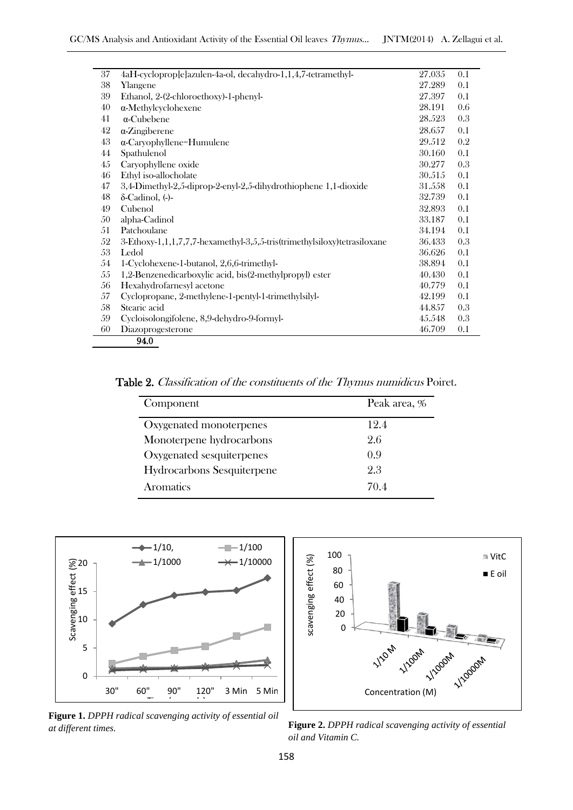| 37 | 4aH-cycloprop[e]azulen-4a-ol, decahydro-1,1,4,7-tetramethyl-             | 27.035 | 0.1 |
|----|--------------------------------------------------------------------------|--------|-----|
| 38 | Ylangene                                                                 | 27.289 | 0.1 |
| 39 | Ethanol, 2-(2-chloroethoxy)-1-phenyl-                                    | 27.397 | 0.1 |
| 40 | $\alpha$ -Methylcyclohexene                                              | 28.191 | 0.6 |
| 41 | $\alpha$ -Cubebene                                                       | 28.523 | 0.3 |
| 42 | $\alpha$ -Zingiberene                                                    | 28.657 | 0.1 |
| 43 | $\alpha$ -Caryophyllene=Humulene                                         | 29.512 | 0.2 |
| 44 | Spathulenol                                                              | 30.160 | 0.1 |
| 45 | Caryophyllene oxide                                                      | 30.277 | 0.3 |
| 46 | Ethyl iso-allocholate                                                    | 30.515 | 0.1 |
| 47 | 3,4-Dimethyl-2,5-diprop-2-enyl-2,5-dihydrothiophene 1,1-dioxide          | 31.558 | 0.1 |
| 48 | $\delta$ -Cadinol, $\left($ - $\right)$ -                                | 32.739 | 0.1 |
| 49 | Cubenol                                                                  | 32.893 | 0.1 |
| 50 | alpha-Cadinol                                                            | 33.187 | 0.1 |
| 51 | Patchoulane                                                              | 34.194 | 0.1 |
| 52 | 3-Ethoxy-1,1,1,7,7,7-hexamethyl-3,5,5-tris(trimethylsiloxy)tetrasiloxane | 36.433 | 0.3 |
| 53 | Ledol                                                                    | 36.626 | 0.1 |
| 54 | 1-Cyclohexene-1-butanol, 2,6,6-trimethyl-                                | 38.894 | 0.1 |
| 55 | 1,2-Benzenedicarboxylic acid, bis(2-methylpropyl) ester                  | 40.430 | 0.1 |
| 56 | Hexahydrofarnesyl acetone                                                | 40.779 | 0.1 |
| 57 | Cyclopropane, 2-methylene-1-pentyl-1-trimethylsilyl-                     | 42.199 | 0.1 |
| 58 | Stearic acid                                                             | 44.857 | 0.3 |
| 59 | Cycloisolongifolene, 8,9-dehydro-9-formyl-                               | 45.548 | 0.3 |
| 60 | Diazoprogesterone                                                        | 46.709 | 0.1 |
|    | 94.0                                                                     |        |     |

Table 2. Classification of the constituents of the Thymus numidicus Poiret.

| Component                         | Peak area, % |
|-----------------------------------|--------------|
| Oxygenated monoterpenes           | 12.4         |
| Monoterpene hydrocarbons          | 2.6          |
| Oxygenated sesquiterpenes         | 0.9          |
| <b>Hydrocarbons Sesquiterpene</b> | 2.3          |
| Aromatics                         | 70.4         |



100 **N** VitC scavenging effect (%) scavenging effect (%) 80 E oil 60 40 20 0 **1/20M** 1/200M 1/2000M Concentration (M)

**Figure 1.** *DPPH radical scavenging activity of essential oil at different times.*

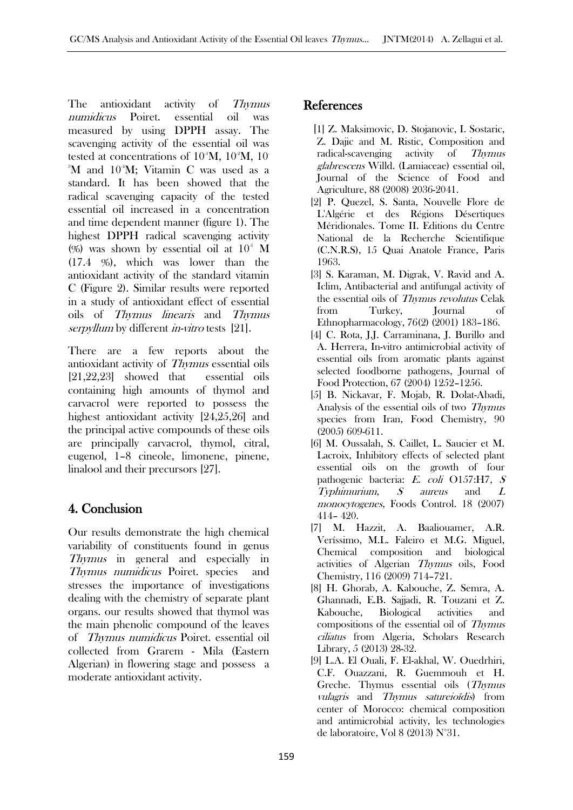The antioxidant activity of Thymus numidicus Poiret. essential oil was measured by using DPPH assay. The scavenging activity of the essential oil was tested at concentrations of  $10^4$ M,  $10^2$ M, 10<sup>-2</sup>M, 10<sup>-2</sup>M <sup>3</sup>M and 10<sup>4</sup>M; Vitamin C was used as a standard. It has been showed that the radical scavenging capacity of the tested essential oil increased in a concentration and time dependent manner (figure 1). The highest DPPH radical scavenging activity (%) was shown by essential oil at  $10<sup>-1</sup>$  M (17.4 %), which was lower than the antioxidant activity of the standard vitamin C (Figure 2). Similar results were reported in a study of antioxidant effect of essential oils of Thymus linearis and Thymus serpyllum by different *in-vitro* tests [21].

There are a few reports about the antioxidant activity of Thymus essential oils [21,22,23] showed that essential oils containing high amounts of thymol and carvacrol were reported to possess the highest antioxidant activity [24,25,26] and the principal active compounds of these oils are principally carvacrol, thymol, citral, eugenol, 1–8 cineole, limonene, pinene, linalool and their precursors [27].

# 4. Conclusion

Our results demonstrate the high chemical variability of constituents found in genus Thymus in general and especially in Thymus numidicus Poiret. species and stresses the importance of investigations dealing with the chemistry of separate plant organs. our results showed that thymol was the main phenolic compound of the leaves of Thymus numidicus Poiret. essential oil collected from Grarem - Mila (Eastern Algerian) in flowering stage and possess a moderate antioxidant activity.

# References

- [1] Z. Maksimovic, D. Stojanovic, I. Sostaric, Z. Dajic and M. Ristic, Composition and radical-scavenging activity of Thymus glabrescens Willd. (Lamiaceae) essential oil, Journal of the Science of Food and Agriculture, 88 (2008) 2036-2041.
- [2] P. Quezel, S. Santa, Nouvelle Flore de L'Algérie et des Régions Désertiques Méridionales. Tome II. Editions du Centre National de la Recherche Scientifique (C.N.R.S), 15 Quai Anatole France, Paris 1963.
- [3] S. Karaman, M. Digrak, V. Ravid and A. Iclim, Antibacterial and antifungal activity of the essential oils of Thymus revolutus Celak from Turkey, Journal of Ethnopharmacology, 76(2) (2001) 183–186.
- [4] C. Rota, J.J. Carraminana, J. Burillo and A. Herrera, In-vitro antimicrobial activity of essential oils from aromatic plants against selected foodborne pathogens, Journal of Food Protection, 67 (2004) 1252–1256.
- [5] B. Nickavar, F. Mojab, R. Dolat-Abadi, Analysis of the essential oils of two Thymus species from Iran, Food Chemistry, 90 (2005) 609-611.
- [6] M. Oussalah, S. Caillet, L. Saucier et M. Lacroix, Inhibitory effects of selected plant essential oils on the growth of four pathogenic bacteria: E. coli O157:H7, <sup>S</sup> Typhimurium, S aureus and <sup>L</sup> monocytogenes, Foods Control. 18 (2007) 414– 420.
- [7] M. Hazzit, A. Baaliouamer, A.R. Veríssimo, M.L. Faleiro et M.G. Miguel, Chemical composition and biological activities of Algerian Thymus oils, Food Chemistry, 116 (2009) 714–721.
- [8] H. Ghorab, A. Kabouche, Z. Semra, A. Ghannadi, E.B. Sajjadi, R. Touzani et Z. Kabouche, Biological activities and compositions of the essential oil of Thymus ciliatus from Algeria, Scholars Research Library, 5 (2013) 28-32.
- [9] L.A. El Ouali, F. El-akhal, W. Ouedrhiri, C.F. Ouazzani, R. Guemmouh et H. Greche. Thymus essential oils (Thymus vulagris and Thymus satureioïdis) from center of Morocco: chemical composition and antimicrobial activity, les technologies de laboratoire, Vol 8 (2013) N°31.